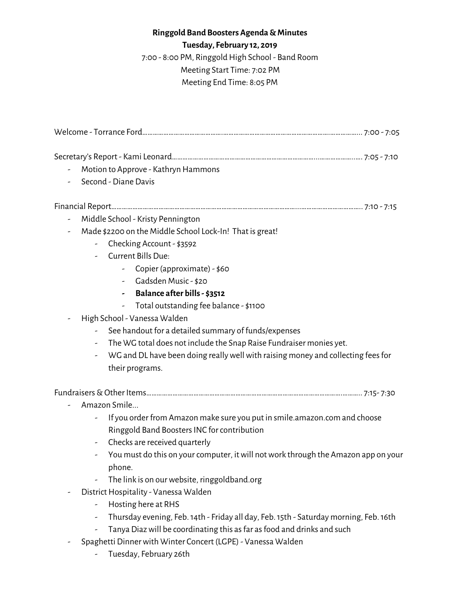## **Ringgold Band Boosters Agenda &Minutes**

**Tuesday, February 12, 2019**

7:00 - 8:00 PM, Ringgold High School - Band Room Meeting Start Time: 7:02 PM Meeting End Time: 8:05 PM

| -                        | Motion to Approve - Kathryn Hammons                                                                               |  |  |  |  |
|--------------------------|-------------------------------------------------------------------------------------------------------------------|--|--|--|--|
|                          | Second - Diane Davis                                                                                              |  |  |  |  |
|                          |                                                                                                                   |  |  |  |  |
| $\overline{\phantom{a}}$ | Middle School - Kristy Pennington                                                                                 |  |  |  |  |
|                          | Made \$2200 on the Middle School Lock-In! That is great!                                                          |  |  |  |  |
|                          | - Checking Account - \$3592                                                                                       |  |  |  |  |
|                          | - Current Bills Due:                                                                                              |  |  |  |  |
|                          | Copier (approximate) - \$60                                                                                       |  |  |  |  |
|                          | - Gadsden Music - \$20                                                                                            |  |  |  |  |
|                          | Balance after bills - \$3512                                                                                      |  |  |  |  |
|                          | Total outstanding fee balance - \$1100                                                                            |  |  |  |  |
|                          | High School - Vanessa Walden                                                                                      |  |  |  |  |
|                          | See handout for a detailed summary of funds/expenses                                                              |  |  |  |  |
|                          | The WG total does not include the Snap Raise Fundraiser monies yet.                                               |  |  |  |  |
|                          | WG and DL have been doing really well with raising money and collecting fees for<br>$\overline{\phantom{a}}$      |  |  |  |  |
|                          | their programs.                                                                                                   |  |  |  |  |
|                          |                                                                                                                   |  |  |  |  |
|                          | Amazon Smile                                                                                                      |  |  |  |  |
|                          | If you order from Amazon make sure you put in smile.amazon.com and choose                                         |  |  |  |  |
|                          | Ringgold Band Boosters INC for contribution                                                                       |  |  |  |  |
|                          | Checks are received quarterly<br>-                                                                                |  |  |  |  |
|                          | You must do this on your computer, it will not work through the Amazon app on your                                |  |  |  |  |
|                          | phone.                                                                                                            |  |  |  |  |
|                          | The link is on our website, ringgoldband.org                                                                      |  |  |  |  |
|                          | District Hospitality - Vanessa Walden                                                                             |  |  |  |  |
|                          | Hosting here at RHS<br>-                                                                                          |  |  |  |  |
|                          | Thursday evening, Feb. 14th - Friday all day, Feb. 15th - Saturday morning, Feb. 16th<br>$\overline{\phantom{a}}$ |  |  |  |  |
|                          | Tanya Diaz will be coordinating this as far as food and drinks and such                                           |  |  |  |  |

- Spaghetti Dinner with Winter Concert (LGPE) Vanessa Walden
	- Tuesday, February 26th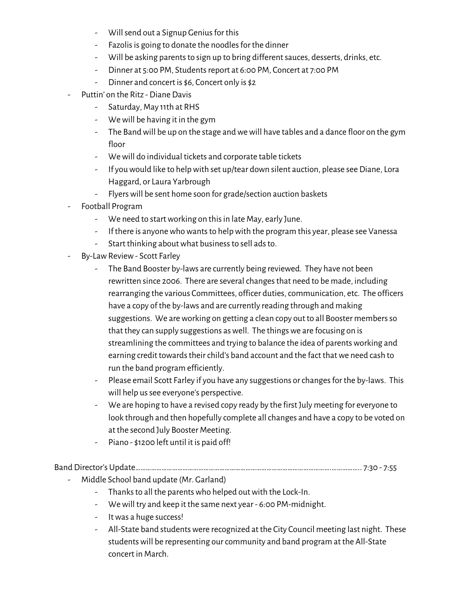- Will send out a Signup Genius for this
- Fazolis is going to donate the noodles for the dinner
- Will be asking parents to sign up to bring different sauces, desserts, drinks, etc.
- Dinner at 5:00 PM, Students report at 6:00 PM, Concert at 7:00 PM
- Dinner and concert is \$6, Concert only is \$2
- Puttin' on the Ritz Diane Davis
	- Saturday, May 11th at RHS
	- Wewill be having it in the gym
	- The Band will be up on the stage and we will have tables and a dance floor on the gym floor
	- Wewill do individual tickets and corporate table tickets
	- If youwould like to helpwith set up/tear down silent auction, please see Diane, Lora Haggard, or Laura Yarbrough
	- Flyerswill be sent home soon for grade/section auction baskets
- Football Program
	- We need to start working on this in late May, early June.
	- If there is anyone who wants to help with the program this year, please see Vanessa
	- Start thinking aboutwhat businessto sell adsto.
- By-Law Review Scott Farley
	- The Band Booster by-laws are currently being reviewed. They have not been rewritten since 2006. There are several changes that need to be made, including rearranging the various Committees, officer duties, communication, etc. The officers have a copy of the by-laws and are currently reading through and making suggestions. We are working on getting a clean copy out to all Booster members so that they can supply suggestions as well. The things we are focusing on is streamlining the committees and trying to balance the idea of parents working and earning credit towards their child's band account and the fact that we need cash to run the band program efficiently.
	- Please email Scott Farley if you have any suggestions or changes for the by-laws. This will help us see everyone's perspective.
	- We are hoping to have a revised copy ready by the first July meeting for everyone to look through and then hopefully complete all changes and have a copy to be voted on at the second July Booster Meeting.
	- Piano \$1200 left until it is paid off!

Band Director's Update………………………………………………………………………………………………….…………….. 7:30 - 7:55

- Middle School band update (Mr. Garland)
	- Thanks to all the parents who helped out with the Lock-In.
	- Wewill try and keep it the same next year 6:00 PM-midnight.
	- Itwas a huge success!
	- All-State band students were recognized at the City Council meeting last night. These students will be representing our community and band program at the All-State concert in March.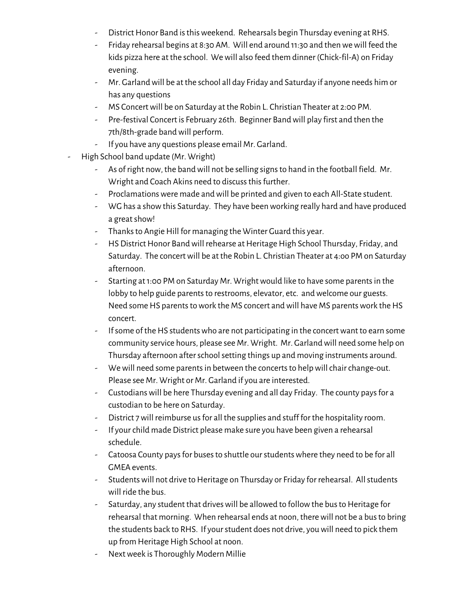- District Honor Band is this weekend. Rehearsals begin Thursday evening at RHS.
- Friday rehearsal begins at 8:30 AM. Will end around 11:30 and thenwewill feed the kids pizza here at the school. Wewill also feed them dinner (Chick-fil-A) on Friday evening.
- Mr. Garlandwill be at the school all day Friday and Saturday if anyone needs him or has any questions
- MS Concert will be on Saturday at the Robin L. Christian Theater at 2:00 PM.
- Pre-festival Concert is February 26th. Beginner Bandwill play first and then the 7th/8th-grade band will perform.
- If you have any questions please email Mr. Garland.
- High School band update (Mr. Wright)
	- As of right now, the bandwill not be selling signsto hand in the football field. Mr. Wright and Coach Akins need to discuss this further.
	- Proclamations were made and will be printed and given to each All-State student.
	- WG has a show this Saturday. They have been working really hard and have produced a greatshow!
	- Thanks to Angie Hill for managing the Winter Guard this year.
	- HS District Honor Band will rehearse at Heritage High School Thursday, Friday, and Saturday. The concertwill be at the Robin L. Christian Theater at 4:oo PM on Saturday afternoon.
	- Starting at 1:00 PM on Saturday Mr. Wright would like to have some parents in the lobby to help guide parents to restrooms, elevator, etc. and welcome our guests. Need some HS parents to work the MS concert and will have MS parents work the HS concert.
	- If some of the HS students who are not participating in the concert want to earn some community service hours, please see Mr. Wright. Mr. Garlandwill need some help on Thursday afternoon after school setting things up and moving instruments around.
	- We will need some parents in between the concerts to help will chair change-out. Please see Mr. Wright or Mr. Garland if you are interested.
	- Custodians will be here Thursday evening and all day Friday. The county pays for a custodian to be here on Saturday.
	- District 7will reimburse usfor all the supplies and stuff for the hospitality room.
	- If yourchild made District please make sure you have been given a rehearsal schedule.
	- Catoosa County pays for buses to shuttle our students where they need to be for all GMEA events.
	- Students will not drive to Heritage on Thursday or Friday for rehearsal. All students will ride the bus.
	- Saturday, any student that drives will be allowed to follow the bus to Heritage for rehearsal that morning. When rehearsal ends at noon, therewill not be a busto bring the students back to RHS. If yourstudent does not drive, youwill need to pick them up from Heritage High School at noon.
	- Nextweek is Thoroughly Modern Millie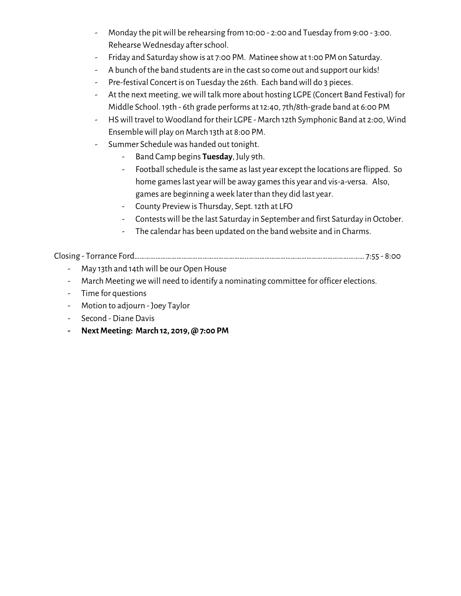- Monday the pitwill be rehearsing from 10:00 2:00 and Tuesday from 9:00 3:00. Rehearse Wednesday after school.
- Friday and Saturday showis at 7:00 PM. Matinee showat1:00 PM on Saturday.
- A bunch of the band students are in the cast so come out and support our kids!
- Pre-festival Concert is on Tuesday the 26th. Each band will do 3 pieces.
- At the next meeting, we will talk more about hosting LGPE (Concert Band Festival) for Middle School.19th - 6th grade performs at12:40, 7th/8th-grade band at 6:00 PM
- HSwill travel to Woodland for their LGPE March 12th Symphonic Band at 2:00, Wind Ensemblewill play on March 13th at 8:00 PM.
- Summer Schedulewas handed out tonight.
	- Band Camp begins **Tuesday**, July 9th.
	- Football schedule is the same as last year except the locations are flipped. So home games last year will be away games this year and vis-a-versa. Also, games are beginning aweek later than they did last year.
	- County Previewis Thursday, Sept.12th at LFO
	- Contestswill be the last Saturday in September and first Saturday in October.
	- The calendar has been updated on the band website and in Charms.

Closing - Torrance Ford………………………………………………………..………………………………………………………… 7:55 - 8:00

- May 13th and 14th will be our Open House
- March Meeting we will need to identify a nominating committee for officer elections.
- Time for questions
- Motion to adjourn Joey Taylor
- Second Diane Davis
- **- NextMeeting: March 12, 2019, @ 7:00 PM**